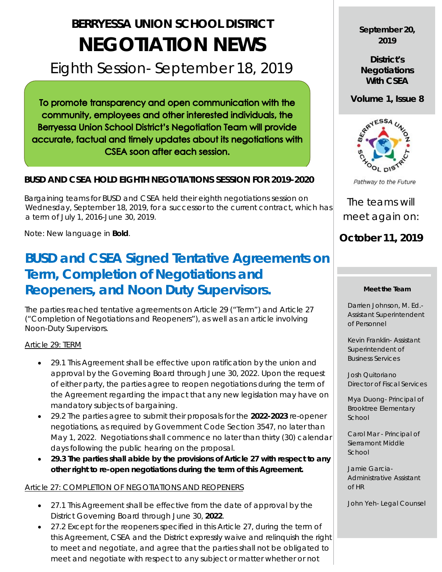# **BERRYESSA UNION SCHOOL DISTRICT NEGOTIATION NEWS**

# Eighth Session- September 18, 2019

To promote transparency and open communication with the community, employees and other interested individuals, the Berryessa Union School District's Negotiation Team will provide accurate, factual and timely updates about its negotiations with CSEA soon after each session.

## **BUSD AND CSEA HOLD EIGHTH NEGOTIATIONS SESSION FOR 2019-2020**

 Bargaining teams for BUSD and CSEA held their eighth negotiations session on Wednesday, September 18, 2019, for a successor to the current contract, which has a term of July 1, 2016-June 30, 2019.

Note: New language in **Bold**.

# **BUSD and CSEA Signed Tentative Agreements on Term, Completion of Negotiations and Reopeners, and Noon Duty Supervisors.**

The parties reached tentative agreements on Article 29 ("Term") and Article 27 ("Completion of Negotiations and Reopeners"), as well as an article involving Noon-Duty Supervisors.

#### Article 29: TERM

- 29.1 This Agreement shall be effective upon ratification by the union and approval by the Governing Board through June 30, 2022. Upon the request of either party, the parties agree to reopen negotiations during the term of the Agreement regarding the impact that any new legislation may have on mandatory subjects of bargaining.
- 29.2 The parties agree to submit their proposals for the **2022-2023** re-opener negotiations, as required by Government Code Section 3547, no later than May 1, 2022. Negotiations shall commence no later than thirty (30) calendar days following the public hearing on the proposal.
- **29.3 The parties shall abide by the provisions of Article 27 with respect to any other right to re-open negotiations during the term of this Agreement.**

#### Article 27: COMPLETION OF NEGOTIATIONS AND REOPENERS

- 27.1 This Agreement shall be effective from the date of approval by the District Governing Board through June 30, **2022**.
- 27.2 Except for the reopeners specified in this Article 27, during the term of this Agreement, CSEA and the District expressly waive and relinquish the right to meet and negotiate, and agree that the parties shall not be obligated to meet and negotiate with respect to any subject or matter whether or not

**September 20, 2019**

**District's Negotiations With CSEA**

**Volume 1, Issue 8**



Pathway to the Future

The teams will meet again on:

# **October 11, 2019**

#### **Meet the Team**

Darrien Johnson, M. Ed.- Assistant Superintendent of Personnel

Kevin Franklin- Assistant Superintendent of Business Services

Josh Quitoriano Director of Fiscal Services

Mya Duong- Principal of Brooktree Elementary School

Carol Mar - Principal of Sierramont Middle School

Jamie Garcia-Administrative Assistant of HR

John Yeh- Legal Counsel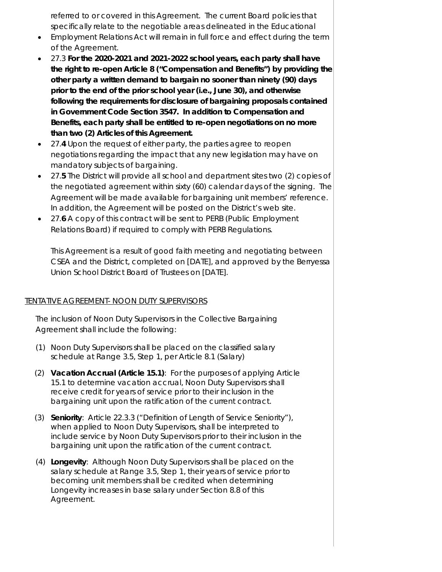referred to or covered in this Agreement. The current Board policies that specifically relate to the negotiable areas delineated in the Educational

- Employment Relations Act will remain in full force and effect during the term of the Agreement.
- 27.3 **For the 2020-2021 and 2021-2022 school years, each party shall have the right to re-open Article 8 ("Compensation and Benefits") by providing the other party a written demand to bargain no sooner than ninety (90) days prior to the end of the prior school year (i.e., June 30), and otherwise following the requirements for disclosure of bargaining proposals contained in Government Code Section 3547. In addition to Compensation and Benefits, each party shall be entitled to re-open negotiations on no more than two (2) Articles of this Agreement.**
- 27.**4** Upon the request of either party, the parties agree to reopen negotiations regarding the impact that any new legislation may have on mandatory subjects of bargaining.
- 27.**5** The District will provide all school and department sites two (2) copies of the negotiated agreement within sixty (60) calendar days of the signing. The Agreement will be made available for bargaining unit members' reference. In addition, the Agreement will be posted on the District's web site.
- 27.**6** A copy of this contract will be sent to PERB (Public Employment Relations Board) if required to comply with PERB Regulations.

This Agreement is a result of good faith meeting and negotiating between CSEA and the District, completed on [DATE], and approved by the Berryessa Union School District Board of Trustees on [DATE].

### TENTATIVE AGREEMENT- NOON DUTY SUPERVISORS

The inclusion of Noon Duty Supervisors in the Collective Bargaining Agreement shall include the following:

- (1) Noon Duty Supervisors shall be placed on the classified salary schedule at Range 3.5, Step 1, per Article 8.1 (Salary)
- (2) **Vacation Accrual (Article 15.1)**: For the purposes of applying Article 15.1 to determine vacation accrual, Noon Duty Supervisors shall receive credit for years of service prior to their inclusion in the bargaining unit upon the ratification of the current contract.
- (3) **Seniority**: Article 22.3.3 ("Definition of Length of Service Seniority"), when applied to Noon Duty Supervisors, shall be interpreted to include service by Noon Duty Supervisors prior to their inclusion in the bargaining unit upon the ratification of the current contract.
- (4) **Longevity**: Although Noon Duty Supervisors shall be placed on the salary schedule at Range 3.5, Step 1, their years of service prior to becoming unit members shall be credited when determining Longevity increases in base salary under Section 8.8 of this Agreement.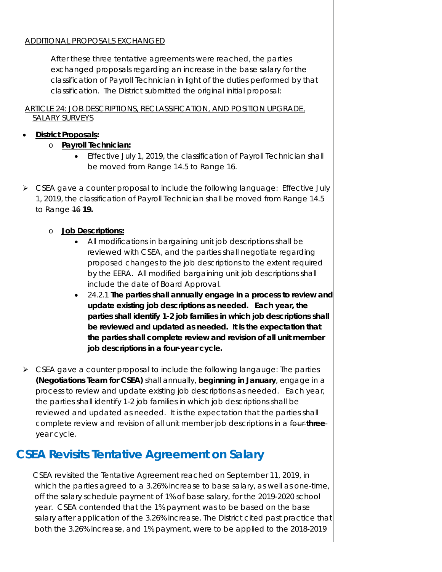#### ADDITIONAL PROPOSALS EXCHANGED

After these three tentative agreements were reached, the parties exchanged proposals regarding an increase in the base salary for the classification of Payroll Technician in light of the duties performed by that classification. The District submitted the original initial proposal:

#### ARTICLE 24: JOB DESCRIPTIONS, RECLASSIFICATION, AND POSITION UPGRADE, SALARY SURVEYS

### • **District Proposals:**

- o **Payroll Technician:**
	- Effective July 1, 2019, the classification of Payroll Technician shall be moved from Range 14.5 to Range 16.
- $\triangleright$  CSEA gave a counter proposal to include the following language: Effective July 1, 2019, the classification of Payroll Technician shall be moved from Range 14.5 to Range 16 **19.**
	- o **Job Descriptions:**
		- All modifications in bargaining unit job descriptions shall be reviewed with CSEA, and the parties shall negotiate regarding proposed changes to the job descriptions to the extent required by the EERA. All modified bargaining unit job descriptions shall include the date of Board Approval.
		- 24.2.1 **The parties shall annually engage in a process to review and update existing job descriptions as needed. Each year, the parties shall identify 1-2 job families in which job descriptions shall be reviewed and updated as needed. It is the expectation that the parties shall complete review and revision of all unit member job descriptions in a four-year cycle.**
- $\triangleright$  CSEA gave a counter proposal to include the following langauge: The parties **(Negotiations Team for CSEA)** shall annually, **beginning in January**, engage in a process to review and update existing job descriptions as needed. Each year, the parties shall identify 1-2 job families in which job descriptions shall be reviewed and updated as needed. It is the expectation that the parties shall complete review and revision of all unit member job descriptions in a four **three**year cycle.

# **CSEA Revisits Tentative Agreement on Salary**

 CSEA revisited the Tentative Agreement reached on September 11, 2019, in which the parties agreed to a 3.26% increase to base salary, as well as one-time, off the salary schedule payment of 1% of base salary, for the 2019-2020 school year. CSEA contended that the 1% payment was to be based on the base salary after application of the 3.26% increase. The District cited past practice that both the 3.26% increase, and 1% payment, were to be applied to the 2018-2019